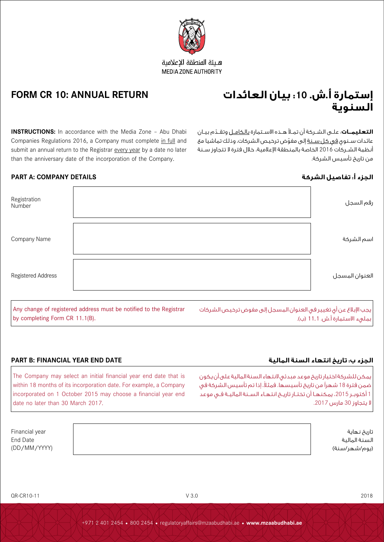**التعليمــات**: علــى الشــركة أن تمــلأ هــذه الاسـتمارة <u>بالكامــل</u> وتقــدّم بيــان عائدات ســنوى <u>فى كل ســنة</u> إلى مفوّض ترخيص الشركات، وذلك تماشيا مع أنظمة الشــركات 2016 الخاصة بالمنطقة اإلعالمية، خالل فترة ال تتجاوز ســنة من تاريخ تأسيس الشركة.

# **الجزء أ: تفاصيل الشركة DETAILS COMPANY :A PART**

| Registration<br>Number | رقم السجل      |
|------------------------|----------------|
| Company Name           | اسم الشركة     |
| Registered Address     | العنوان المسجل |

by completing Form CR 11.1(B).

# **الجزء ب: تاريخ انتهاء السنة المالية DATE END YEAR FINANCIAL :B PART**

The Company may select an initial financial year end date that is within 18 months of its incorporation date. For example, a Company incorporated on 1 October 2015 may choose a financial year end date no later than 30 March 2017.

| Financial year | تاريخ نهاية   |
|----------------|---------------|
| End Date       | السنة المالية |
| (DD/MM/YYYY)   | (يوم/شهر/سنة) |
|                |               |





هبئة المنطقة الاعلامية

# **FORM CR 10: ANNUAL RETURN**

**INSTRUCTIONS:** In accordance with the Media Zone - Abu Dhabi Companies Regulations 2016, a Company must complete in full and submit an annual return to the Registrar every year by a date no later than the anniversary date of the incorporation of the Company.

Any change of registered address must be notified to the Registrar

بمليء الاستمارة أ.ش. 11.1 (ب).

يمكن للشركة اختيار تاريخ موعد مبدئي النتهاء السنة المالية على أن يكون ضمن فترة 18 شهراً من تاريخ تأسيسها. فمثلاً، إذا تم تأسيس الشركة في 1 أكتوبـر 2015، يمكنهـا أن تختـار تاريـخ انتهـاء السـنة الماليـة فـي موعد ال يتجاوز 30 مارس .2017

يجب اإلبالغ عن أي تغيير في العنوان المسجل إلى مفوض ترخيص الشركات

+971 2 401 2454 • 800 2454 • regulatoryaffairs@mzaabudhabi.ae • **www.mzaabudhabi.ae**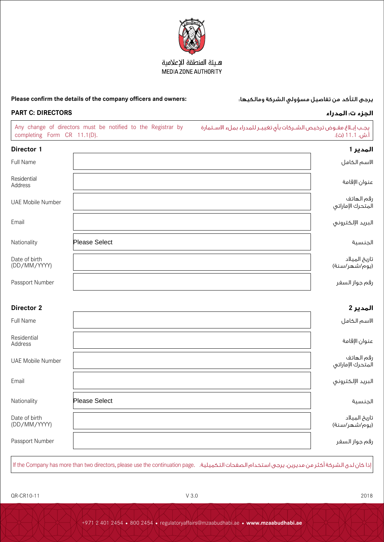

### هيئة المنطقة الإعلامية MEDIA ZONE AUTHORITY

### **Please confirm the details of the company officers and owners:** :ومالكيها الشركة مسؤولي تفاصيل من التأكد يرجى

| <b>PART C: DIRECTORS</b>                                                                    |                      | الجزء ت: المدراء                                                                       |  |  |
|---------------------------------------------------------------------------------------------|----------------------|----------------------------------------------------------------------------------------|--|--|
| Any change of directors must be notified to the Registrar by<br>completing Form CR 11.1(D). |                      | يجب إبـلاغ مفـوض ترخيص الشـركات بأى تغييـر للمدراء بملء الاسـتمارة<br>. أ.ش. 11.1 (ث). |  |  |
| Director 1                                                                                  |                      | المدير 1                                                                               |  |  |
| Full Name                                                                                   |                      | لاسم الكامل                                                                            |  |  |
| Residential<br>Address                                                                      |                      | عنوان الإقامة                                                                          |  |  |
| <b>UAE Mobile Number</b>                                                                    |                      | رقم الهاتف<br>لمتحرك الإماراتى                                                         |  |  |
| Email                                                                                       |                      | لبريد الإلكترونى                                                                       |  |  |
| Nationality                                                                                 | <b>Please Select</b> | لجنسية                                                                                 |  |  |
| Date of birth<br>(DD/MM/YYYY)                                                               |                      | ناريخ الميلاد<br>ْيوە/شهر/سنة)                                                         |  |  |
|                                                                                             |                      |                                                                                        |  |  |

رقم جواز السفر Number والسفر السفر السفر السفر السفر السفر السفر السفر السفر السفر السفر السفر السفر السفر الس

# **المدير 2 2 Director** االسم الكامل Name Full Residential عنوان الإقامة Address UAE Mobile Number الهاتف رقم المتحرك اإلماراتي البريد اإللكتروني Email الجنسية Nationality Please Select

| Date of birth<br>(DD/MM/YYYY) | ناريخ الميلاد<br>ِّيوم/شهر/سنة) |
|-------------------------------|---------------------------------|
| Passport Number               | رقم جواز السفر                  |

اذا كان لدى الشركة أكثر من مديرين، يرجى استخدام الصفحات التكميلية. If the Company has more than two directors, please use the continuation page.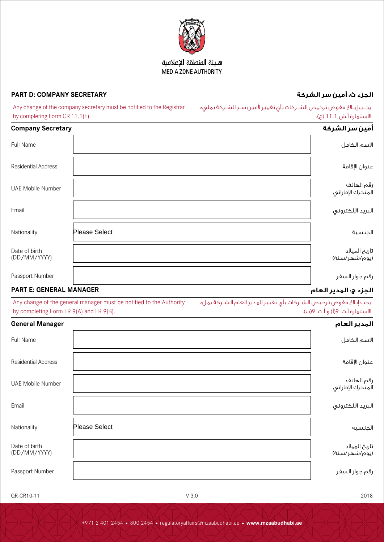

## هيئة المنطقة الإعلامية MEDIA ZONE AUTHORITY

# **الجزء ث: أمين سر الشركة SECRETARY COMPANY :D PART**

| Any change of the company secretary must be notified to the Registrar | يجـب إبـلاغ مفوض ترخيص الشـركات بأى تغيير لأمين سـر الشـركة بملىء |
|-----------------------------------------------------------------------|-------------------------------------------------------------------|
| by completing Form CR 11.1(E).                                        | الاستمارة أ.ش 11.1 (ج).                                           |

| <b>Company Secretary</b>      |                      | أمين سر الشركة                  |
|-------------------------------|----------------------|---------------------------------|
| Full Name                     |                      | الاسم الكامل                    |
| <b>Residential Address</b>    |                      | عنوان الإقامة                   |
| UAE Mobile Number             |                      | رقم الهاتف<br>المتحرك الإماراتي |
| Email                         |                      | البريد الإلكتروني               |
| Nationality                   | <b>Please Select</b> | الجنسية                         |
| Date of birth<br>(DD/MM/YYYY) |                      | تاريخ الميلاد<br>(يوم/شهر/سنة)  |
| Passport Number               |                      | رقم جواز السفر                  |

# **الجزء ج: المدير العام MANAGER GENERAL :E PART**

| Any change of the general manager must be notified to the Authority | يجب إبلاغ مفوض ترخيص الشـركات بأى تغيير المدير العام الشـركة بملء |
|---------------------------------------------------------------------|-------------------------------------------------------------------|
| by completing Form LR 9(A) and LR 9(B).                             | الاستمارة أ.ت. 9(أ) و أ.ت. 9(ب).                                  |

| <b>General Manager</b>        |                      | المدير العام                    |
|-------------------------------|----------------------|---------------------------------|
| Full Name                     |                      | الاسم الكامل                    |
| <b>Residential Address</b>    |                      | عنوان الإقامة                   |
| UAE Mobile Number             |                      | رقم الهاتف<br>المتحرك الإماراتي |
| Email                         |                      | البريد الإلكتروني               |
| Nationality                   | <b>Please Select</b> | الجنسية                         |
| Date of birth<br>(DD/MM/YYYY) |                      | تاریخ المیلاد<br>(یوم/شهر/سنة)  |
| Passport Number               |                      | رقم جواز السفر                  |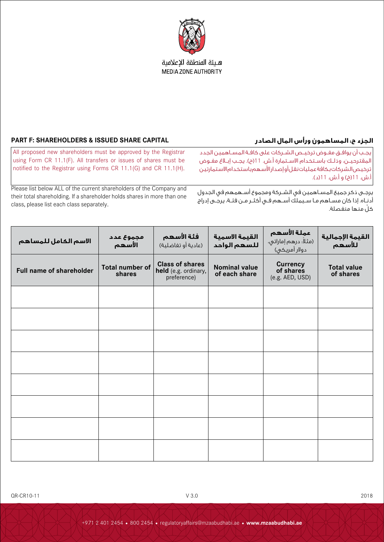

## هبئة المنطقة الاعلامية MEDIA ZONE AUTHORITY

# **الجزء ح: المساهمون ورأس المال الصادر CAPITAL SHARE ISSUED & SHAREHOLDERS :F PART**

أ.ش. 11(خ) و أ.ش. 11(د).

يجــب أن يوافــق مفــوض ترخيــص الشــركات على كافــة المســاهمين الجدد المقترحيــن، وذلــك باســتخدام االســتمارة أ.ش. 11)ح(. يجــب إبــاغ مفــوض ترخيص الشركات بكافة عمليات نقل أو إصدار األسهم باستخدام االستمارتين

> يرجــى ذكر جميع المســاهمين في الشــركة ومجموع أســهمهم في الجدول أدنــاه. إذا كان مســاهم مــا ســيملك أســهم فــي أكثــر مــن فئــة، يرجــى إدراج ّكل منها منفصلة.

All proposed new shareholders must be approved by the Registrar using Form CR 11.1(F). All transfers or issues of shares must be notified to the Registrar using Forms CR 11.1(G) and CR 11.1(H).

Please list below ALL of the current shareholders of the Company and their total shareholding. If a shareholder holds shares in more than one class, please list each class separately.

| الاسم الكامل للمساهم     | مجموع عدد<br>الأسهم              | فئة الأسهم<br>(عادية أو تغاضلية)                              | القيمة الاسمية<br>للسهم الواحد        | عملة الأسهم<br>َ (مثلاً: درهم إماراتي،<br>دولار أمريكي) | القيمة الإجمالية<br>للأسهم      |
|--------------------------|----------------------------------|---------------------------------------------------------------|---------------------------------------|---------------------------------------------------------|---------------------------------|
| Full name of shareholder | <b>Total number of</b><br>shares | <b>Class of shares</b><br>held (e.g. ordinary,<br>preference) | <b>Nominal value</b><br>of each share | <b>Currency</b><br>of shares<br>(e.g. AED, USD)         | <b>Total value</b><br>of shares |
|                          |                                  |                                                               |                                       |                                                         |                                 |
|                          |                                  |                                                               |                                       |                                                         |                                 |
|                          |                                  |                                                               |                                       |                                                         |                                 |
|                          |                                  |                                                               |                                       |                                                         |                                 |
|                          |                                  |                                                               |                                       |                                                         |                                 |
|                          |                                  |                                                               |                                       |                                                         |                                 |
|                          |                                  |                                                               |                                       |                                                         |                                 |
|                          |                                  |                                                               |                                       |                                                         |                                 |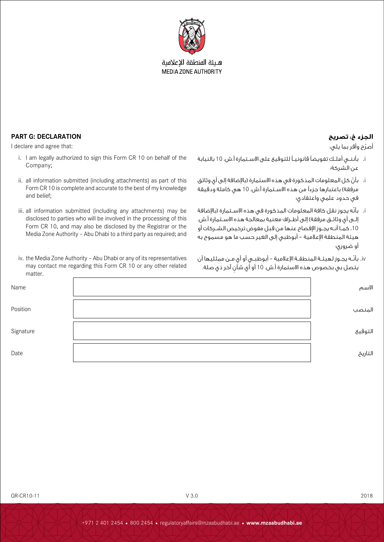

هبئة المنطقة الاعلامية **MEDIA ZONE AUTHORITY** 

## **الجزء خ: تصريح DECLARATION :G PART**

أصرّح وأقر بما يلي:

- i. بأننــي أملــك تفويضًا قانونيــً للتوقيع على االســتمارة أ.ش. 10 بالنيابة عن الشركة؛
- i. ّ بأن كل المعلومات المذكورة في هذه االستمارة )باإلضافة إلى أي وثائق مرفقة) باعتبارها جزءاً من هذه الاسـتمارة أ.ش. 10 هي كاملة ودقيقة في حدود علمي واعتقادي؛
- i. ّ بأنه يجوز نقل كافة المعلومات المذكورة في هذه االســتمارة )باإلضافة إلــى أي وثائــق مرفقة) إلى أطــراف معنية بمعالجة هذه الاســتمارة أ.ش. ،10 كمــا أنــه يجــوز اإلفصاح عنها من قبل مفوض ترخيص الشــركات أو هيئة المنطقة اإلعالمية – أبوظبي إلى الغير حسب ما هو مسموح به أو ضروري؛
- iv. بأنّـه يجـوز لهيئــة المنطقــة الإعلامية أبوظبــى أو أى مــن ممثليها أن يتصل بي بخصوص هذه االستمارة أ.ش. 10 ٍ أو أي شأن آخر ذي صلة.
- I declare and agree that: i. I am legally authorized to sign this Form CR 10 on behalf of the
	- Company; ii. all information submitted (including attachments) as part of this Form CR 10 is complete and accurate to the best of my knowledge
	- and belief; iii. all information submitted (including any attachments) may be
	- disclosed to parties who will be involved in the processing of this Form CR 10, and may also be disclosed by the Registrar or the Media Zone Authority – Abu Dhabi to a third party as required; and
	- iv. the Media Zone Authority Abu Dhabi or any of its representatives may contact me regarding this Form CR 10 or any other related matter.

| Name      | الاسم   |
|-----------|---------|
| Position  | المنصب  |
| Signature | التوقيع |
| Date      | التاريخ |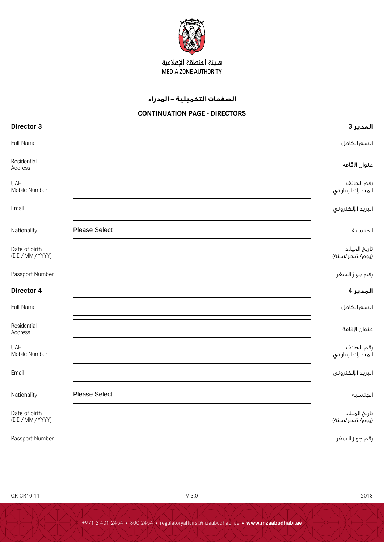

# هيئة المنطقة الإعلامية MEDIA ZONE AUTHORITY

# **الصفحات التكميلية - المدراء**

# **CONTINUATION PAGE - DIRECTORS**

| Director 3                    |               | المدير 3                        |
|-------------------------------|---------------|---------------------------------|
| Full Name                     |               | الاسم الكامل                    |
| Residential<br>Address        |               | عنوان الإقامة                   |
| <b>UAE</b><br>Mobile Number   |               | رقم الهاتف<br>المتحرك الإماراتي |
| Email                         |               | البريد الإلكتروني               |
| Nationality                   | Please Select | الجنسية                         |
| Date of birth<br>(DD/MM/YYYY) |               | تاريخ الميلاد<br>(يوم/شهر/سنة)  |
| Passport Number               |               | رقم جواز السغر                  |
| Director 4                    |               | المدير 4                        |
| Full Name                     |               | الاسم الكامل                    |
| Residential<br>Address        |               | عنوان الإقامة                   |
| <b>UAE</b><br>Mobile Number   |               | رقم الهاتف<br>المتحرك الإماراتى |
| Email                         |               | البريد الإلكتروني               |
| Nationality                   | Please Select | الجنسية                         |
| Date of birth<br>(DD/MM/YYYY) |               | تاريخ الميلاد<br>(يوم/شهر/سنة)  |
| Passport Number               |               | رقم جواز السفر                  |

QR-CR10-11 2018 2018 2019 2020 2020 2020 2020 2020 2020 2030 204 204 204 204 205 206 207 207 208 208 208 208 20